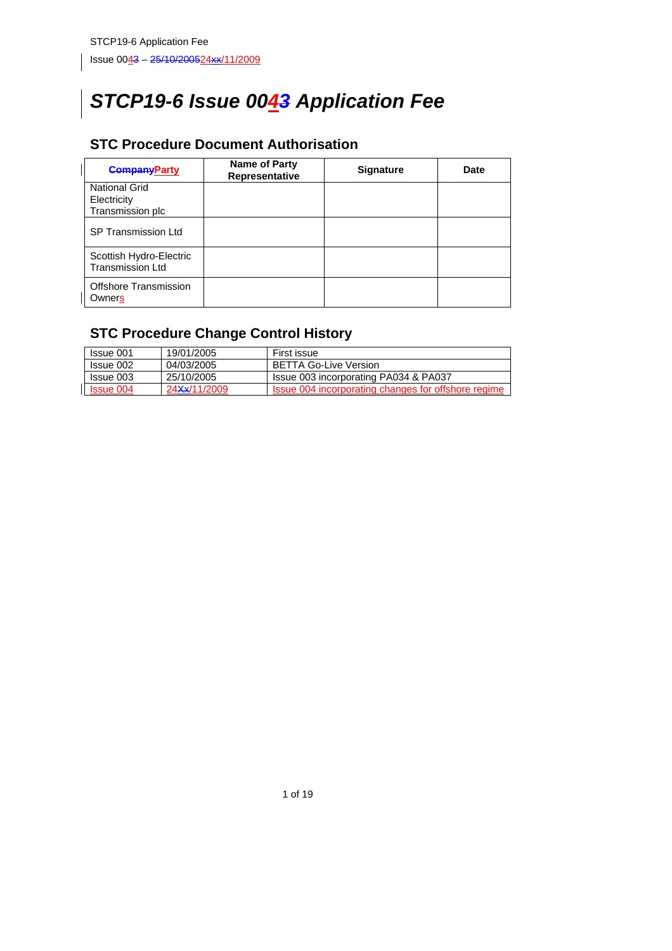# *STCP19-6 Issue 0043 Application Fee*

### **STC Procedure Document Authorisation**

| <b>CompanyParty</b>                                | Name of Party<br>Representative | <b>Signature</b> | Date |
|----------------------------------------------------|---------------------------------|------------------|------|
| National Grid<br>Electricity<br>Transmission plc   |                                 |                  |      |
| SP Transmission Ltd                                |                                 |                  |      |
| Scottish Hydro-Electric<br><b>Transmission Ltd</b> |                                 |                  |      |
| Offshore Transmission<br>Owners                    |                                 |                  |      |

### **STC Procedure Change Control History**

| Issue 001        | 19/01/2005                | First issue                                         |
|------------------|---------------------------|-----------------------------------------------------|
| Issue 002        | 04/03/2005                | <b>BETTA Go-Live Version</b>                        |
| Issue 003        | 25/10/2005                | Issue 003 incorporating PA034 & PA037               |
| <b>Issue 004</b> | 24 <del>Xx</del> /11/2009 | Issue 004 incorporating changes for offshore regime |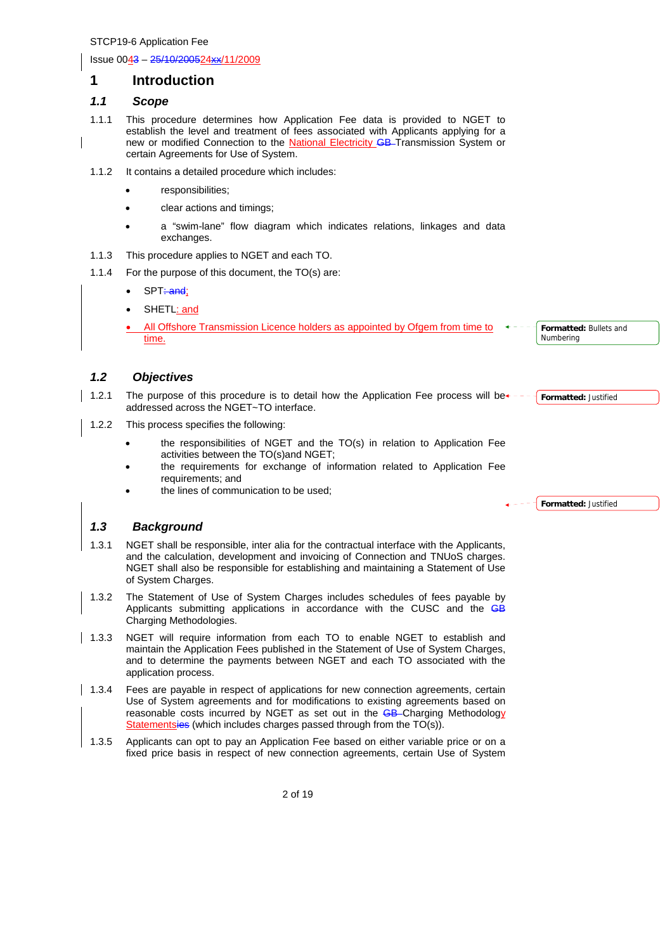Issue 0043 – 25/10/200524xx/11/2009

### **1 Introduction**

### *1.1 Scope*

- 1.1.1 This procedure determines how Application Fee data is provided to NGET to establish the level and treatment of fees associated with Applicants applying for a new or modified Connection to the National Electricity GB Transmission System or certain Agreements for Use of System.
- 1.1.2 It contains a detailed procedure which includes:
	- responsibilities;
	- clear actions and timings;
	- a "swim-lane" flow diagram which indicates relations, linkages and data exchanges.
- 1.1.3 This procedure applies to NGET and each TO.
- 1.1.4 For the purpose of this document, the TO(s) are:
	- SPT<sub>iand;</sub>
	- SHETL: and
	- All Offshore Transmission Licence holders as appointed by Ofgem from time to time.

**Formatted:** Bullets and Numbering

**Formatted:** Justified

### *1.2 Objectives*

- 1.2.1 The purpose of this procedure is to detail how the Application Fee process will be  $+$ addressed across the NGET~TO interface. **Formatted:** Justified
- 1.2.2 This process specifies the following:
	- the responsibilities of NGET and the TO(s) in relation to Application Fee activities between the TO(s)and NGET;
	- the requirements for exchange of information related to Application Fee requirements; and
	- the lines of communication to be used:

### *1.3 Background*

- 1.3.1 NGET shall be responsible, inter alia for the contractual interface with the Applicants, and the calculation, development and invoicing of Connection and TNUoS charges. NGET shall also be responsible for establishing and maintaining a Statement of Use of System Charges.
- 1.3.2 The Statement of Use of System Charges includes schedules of fees payable by Applicants submitting applications in accordance with the CUSC and the GB Charging Methodologies.
- 1.3.3 NGET will require information from each TO to enable NGET to establish and maintain the Application Fees published in the Statement of Use of System Charges, and to determine the payments between NGET and each TO associated with the application process.
- 1.3.4 Fees are payable in respect of applications for new connection agreements, certain Use of System agreements and for modifications to existing agreements based on reasonable costs incurred by NGET as set out in the GB-Charging Methodology Statementsies (which includes charges passed through from the TO(s)).
- 1.3.5 Applicants can opt to pay an Application Fee based on either variable price or on a fixed price basis in respect of new connection agreements, certain Use of System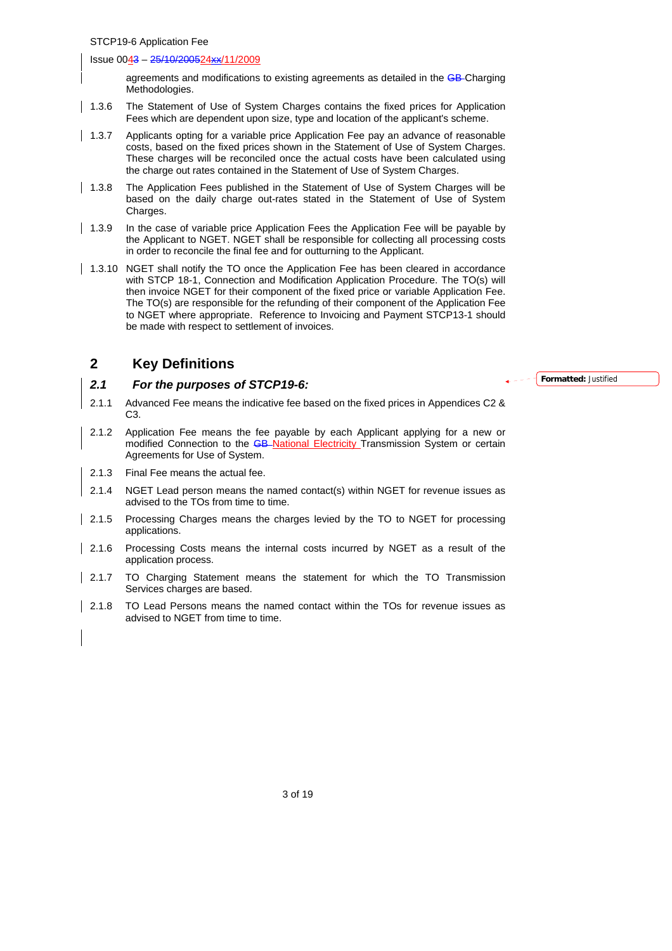agreements and modifications to existing agreements as detailed in the GB-Charging Methodologies.

- 1.3.6 The Statement of Use of System Charges contains the fixed prices for Application Fees which are dependent upon size, type and location of the applicant's scheme.
- 1.3.7 Applicants opting for a variable price Application Fee pay an advance of reasonable costs, based on the fixed prices shown in the Statement of Use of System Charges. These charges will be reconciled once the actual costs have been calculated using the charge out rates contained in the Statement of Use of System Charges.
- 1.3.8 The Application Fees published in the Statement of Use of System Charges will be based on the daily charge out-rates stated in the Statement of Use of System Charges.
- 1.3.9 In the case of variable price Application Fees the Application Fee will be payable by the Applicant to NGET. NGET shall be responsible for collecting all processing costs in order to reconcile the final fee and for outturning to the Applicant.
- 1.3.10 NGET shall notify the TO once the Application Fee has been cleared in accordance with STCP 18-1, Connection and Modification Application Procedure. The TO(s) will then invoice NGET for their component of the fixed price or variable Application Fee. The TO(s) are responsible for the refunding of their component of the Application Fee to NGET where appropriate. Reference to Invoicing and Payment STCP13-1 should be made with respect to settlement of invoices.

### **2 Key Definitions**

### *2.1 For the purposes of STCP19-6:*

- 2.1.1 Advanced Fee means the indicative fee based on the fixed prices in Appendices C2 & C3.
- 2.1.2 Application Fee means the fee payable by each Applicant applying for a new or modified Connection to the GB-National Electricity Transmission System or certain Agreements for Use of System.
- 2.1.3 Final Fee means the actual fee.
- 2.1.4 NGET Lead person means the named contact(s) within NGET for revenue issues as advised to the TOs from time to time.
- 2.1.5 Processing Charges means the charges levied by the TO to NGET for processing applications.
- 2.1.6 Processing Costs means the internal costs incurred by NGET as a result of the application process.
- 2.1.7 TO Charging Statement means the statement for which the TO Transmission Services charges are based.
- 2.1.8 TO Lead Persons means the named contact within the TOs for revenue issues as advised to NGET from time to time.

**Formatted:** Justified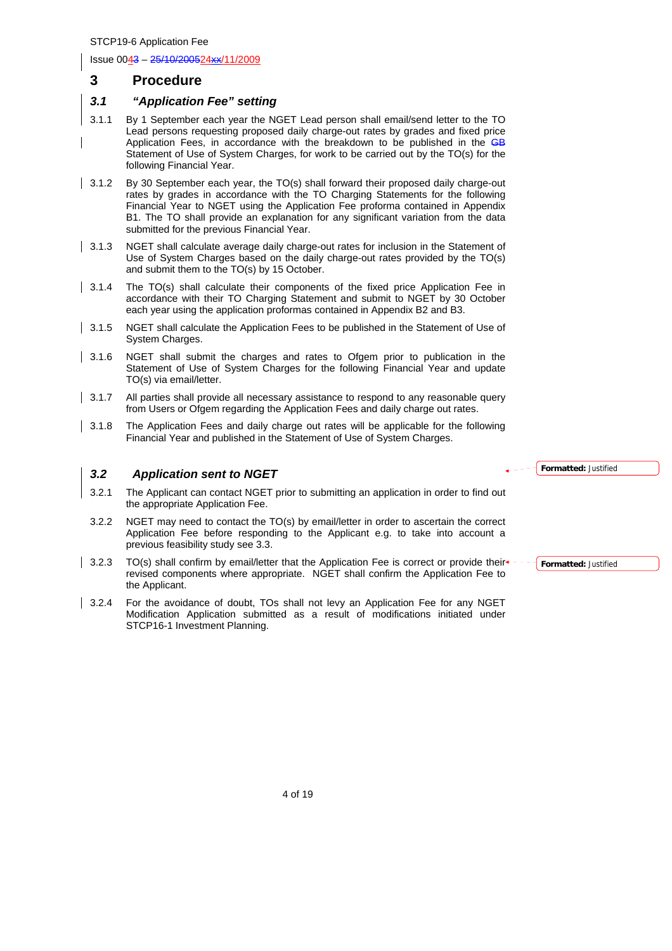### **3 Procedure**

#### *3.1 "Application Fee" setting*

- 3.1.1 By 1 September each year the NGET Lead person shall email/send letter to the TO Lead persons requesting proposed daily charge-out rates by grades and fixed price Application Fees, in accordance with the breakdown to be published in the GB Statement of Use of System Charges, for work to be carried out by the TO(s) for the following Financial Year.
- 3.1.2 By 30 September each year, the TO(s) shall forward their proposed daily charge-out rates by grades in accordance with the TO Charging Statements for the following Financial Year to NGET using the Application Fee proforma contained in Appendix B1. The TO shall provide an explanation for any significant variation from the data submitted for the previous Financial Year.
- 3.1.3 NGET shall calculate average daily charge-out rates for inclusion in the Statement of Use of System Charges based on the daily charge-out rates provided by the TO(s) and submit them to the TO(s) by 15 October.
- 3.1.4 The TO(s) shall calculate their components of the fixed price Application Fee in accordance with their TO Charging Statement and submit to NGET by 30 October each year using the application proformas contained in Appendix B2 and B3.
- 3.1.5 NGET shall calculate the Application Fees to be published in the Statement of Use of System Charges.
- 3.1.6 NGET shall submit the charges and rates to Ofgem prior to publication in the Statement of Use of System Charges for the following Financial Year and update TO(s) via email/letter.
- 3.1.7 All parties shall provide all necessary assistance to respond to any reasonable query from Users or Ofgem regarding the Application Fees and daily charge out rates.
- 3.1.8 The Application Fees and daily charge out rates will be applicable for the following Financial Year and published in the Statement of Use of System Charges.

### *3.2 Application sent to NGET*

- 3.2.1 The Applicant can contact NGET prior to submitting an application in order to find out the appropriate Application Fee.
- 3.2.2 NGET may need to contact the TO(s) by email/letter in order to ascertain the correct Application Fee before responding to the Applicant e.g. to take into account a previous feasibility study see 3.3.
- 3.2.3 TO(s) shall confirm by email/letter that the Application Fee is correct or provide their $\epsilon$  -revised components where appropriate. NGET shall confirm the Application Fee to the Applicant.
- 3.2.4 For the avoidance of doubt, TOs shall not levy an Application Fee for any NGET Modification Application submitted as a result of modifications initiated under STCP16-1 Investment Planning.

**Formatted:** Justified

**Formatted:** Justified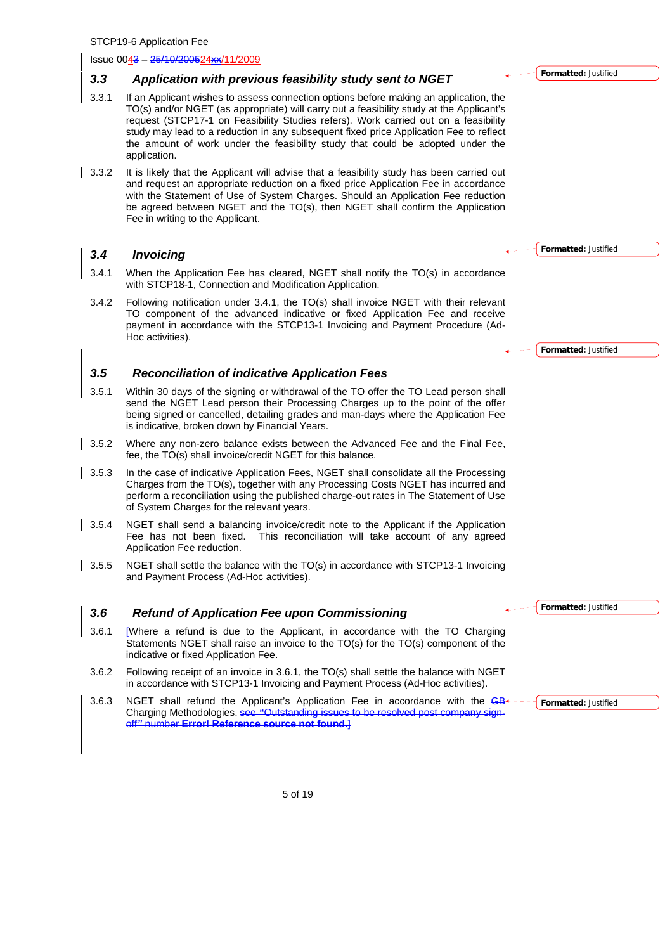#### *3.3 Application with previous feasibility study sent to NGET*

- 3.3.1 If an Applicant wishes to assess connection options before making an application, the TO(s) and/or NGET (as appropriate) will carry out a feasibility study at the Applicant's request (STCP17-1 on Feasibility Studies refers). Work carried out on a feasibility study may lead to a reduction in any subsequent fixed price Application Fee to reflect the amount of work under the feasibility study that could be adopted under the application.
- 3.3.2 It is likely that the Applicant will advise that a feasibility study has been carried out and request an appropriate reduction on a fixed price Application Fee in accordance with the Statement of Use of System Charges. Should an Application Fee reduction be agreed between NGET and the TO(s), then NGET shall confirm the Application Fee in writing to the Applicant.

### *3.4 Invoicing*

- 3.4.1 When the Application Fee has cleared, NGET shall notify the TO(s) in accordance with STCP18-1, Connection and Modification Application.
- 3.4.2 Following notification under 3.4.1, the TO(s) shall invoice NGET with their relevant TO component of the advanced indicative or fixed Application Fee and receive payment in accordance with the STCP13-1 Invoicing and Payment Procedure (Ad-Hoc activities).

### *3.5 Reconciliation of indicative Application Fees*

- 3.5.1 Within 30 days of the signing or withdrawal of the TO offer the TO Lead person shall send the NGET Lead person their Processing Charges up to the point of the offer being signed or cancelled, detailing grades and man-days where the Application Fee is indicative, broken down by Financial Years.
- 3.5.2 Where any non-zero balance exists between the Advanced Fee and the Final Fee, fee, the TO(s) shall invoice/credit NGET for this balance.
- 3.5.3 In the case of indicative Application Fees, NGET shall consolidate all the Processing Charges from the TO(s), together with any Processing Costs NGET has incurred and perform a reconciliation using the published charge-out rates in The Statement of Use of System Charges for the relevant years.
- 13.5.4 NGET shall send a balancing invoice/credit note to the Applicant if the Application<br>Fee has not been fixed. This reconciliation will take account of any agreed This reconciliation will take account of any agreed Application Fee reduction.
- 3.5.5 NGET shall settle the balance with the TO(s) in accordance with STCP13-1 Invoicing and Payment Process (Ad-Hoc activities).

### *3.6 Refund of Application Fee upon Commissioning*

- 3.6.1 [Where a refund is due to the Applicant, in accordance with the TO Charging Statements NGET shall raise an invoice to the TO(s) for the TO(s) component of the indicative or fixed Application Fee.
- 3.6.2 Following receipt of an invoice in 3.6.1, the TO(s) shall settle the balance with NGET in accordance with STCP13-1 Invoicing and Payment Process (Ad-Hoc activities).
- 3.6.3 NGET shall refund the Applicant's Application Fee in accordance with the GB+ Charging Methodologies. see "Outstanding issues to be resolved post company stateoff*"* number **Error! Reference source not found.**]

**Formatted:** Justified

**Formatted:** Justified

**Formatted:** Justified

**Formatted:** Justified

**Formatted:** Justified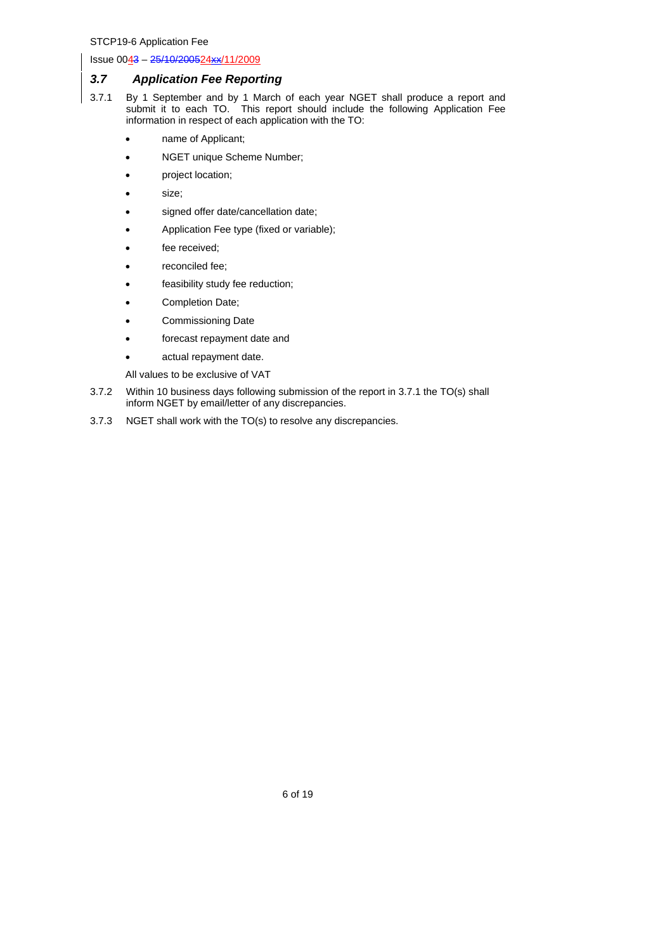#### *3.7 Application Fee Reporting*

- 3.7.1 By 1 September and by 1 March of each year NGET shall produce a report and submit it to each TO. This report should include the following Application Fee information in respect of each application with the TO:
	- name of Applicant;
	- NGET unique Scheme Number;
	- project location;
	- size:
	- signed offer date/cancellation date;
	- Application Fee type (fixed or variable);
	- fee received;
	- reconciled fee;
	- feasibility study fee reduction;
	- Completion Date;
	- Commissioning Date
	- forecast repayment date and
	- actual repayment date.
	- All values to be exclusive of VAT
- 3.7.2 Within 10 business days following submission of the report in 3.7.1 the TO(s) shall inform NGET by email/letter of any discrepancies.
- 3.7.3 NGET shall work with the TO(s) to resolve any discrepancies.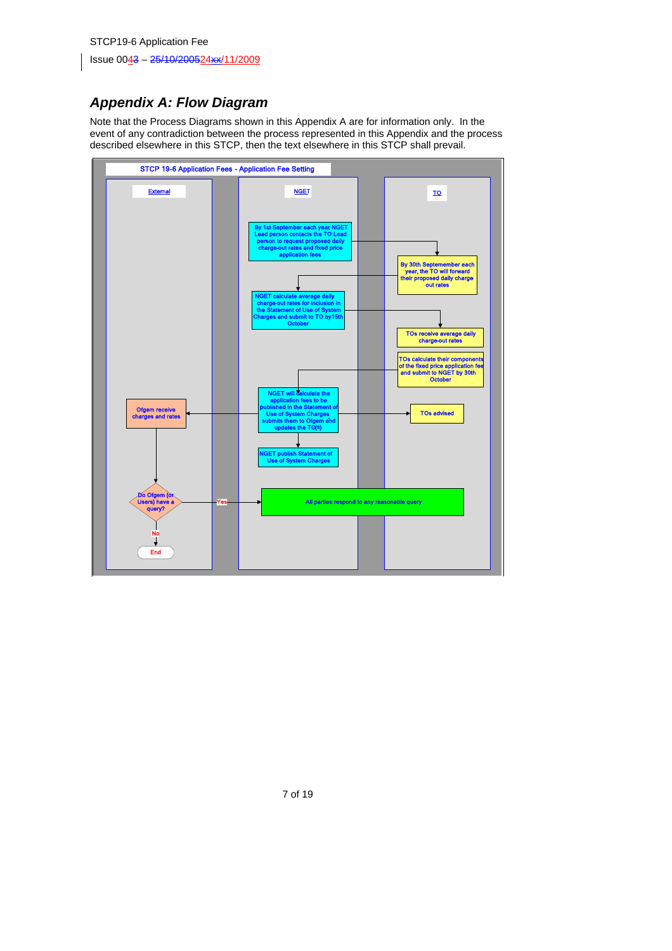### *Appendix A: Flow Diagram*

Note that the Process Diagrams shown in this Appendix A are for information only. In the event of any contradiction between the process represented in this Appendix and the process described elsewhere in this STCP, then the text elsewhere in this STCP shall prevail.

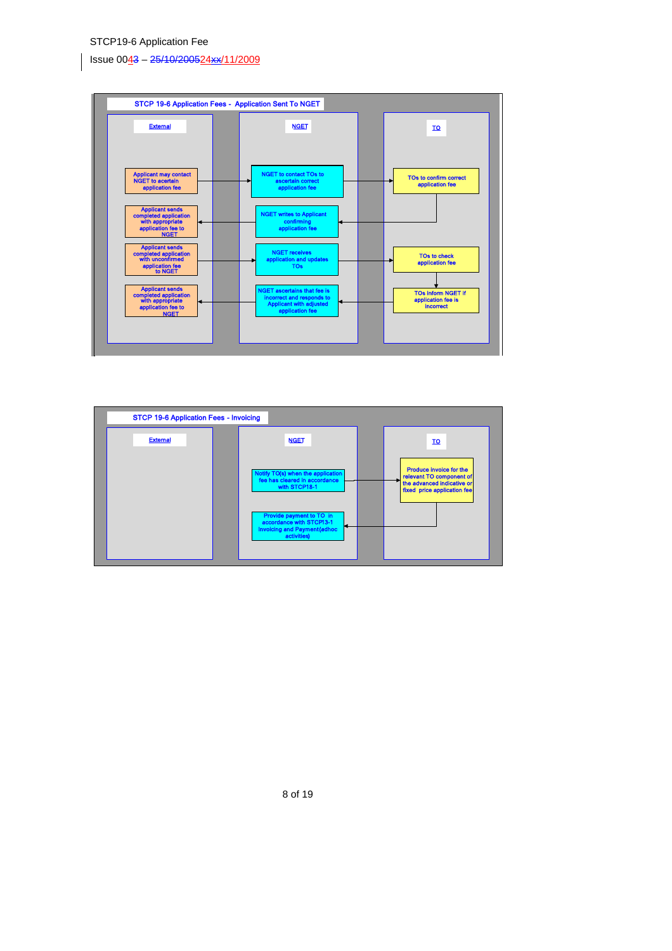### Issue 0043 – 25/10/200524xx/11/2009



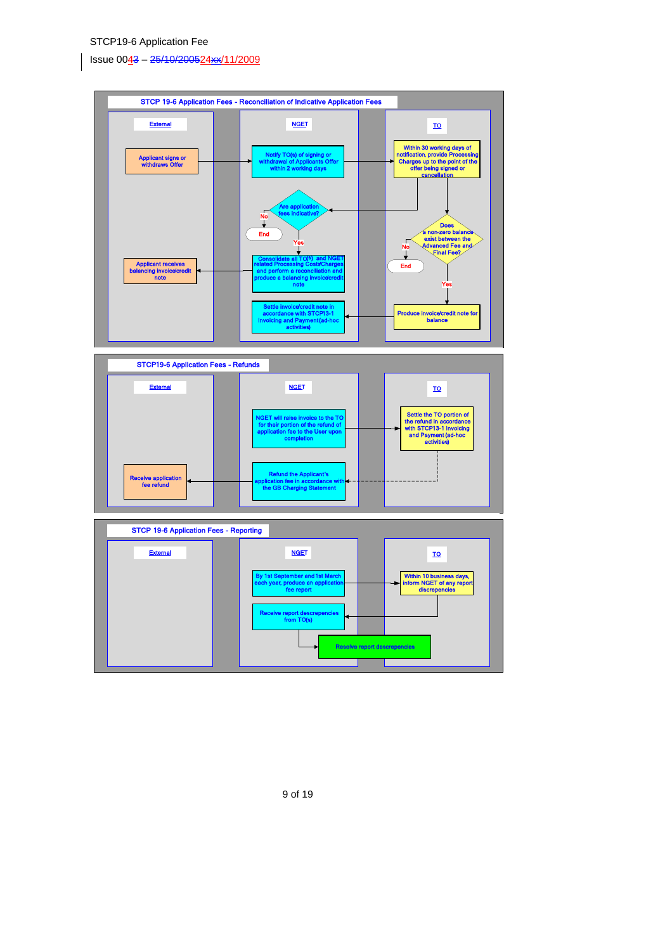Issue 0043 – 25/10/200524xx/11/2009



9 of 19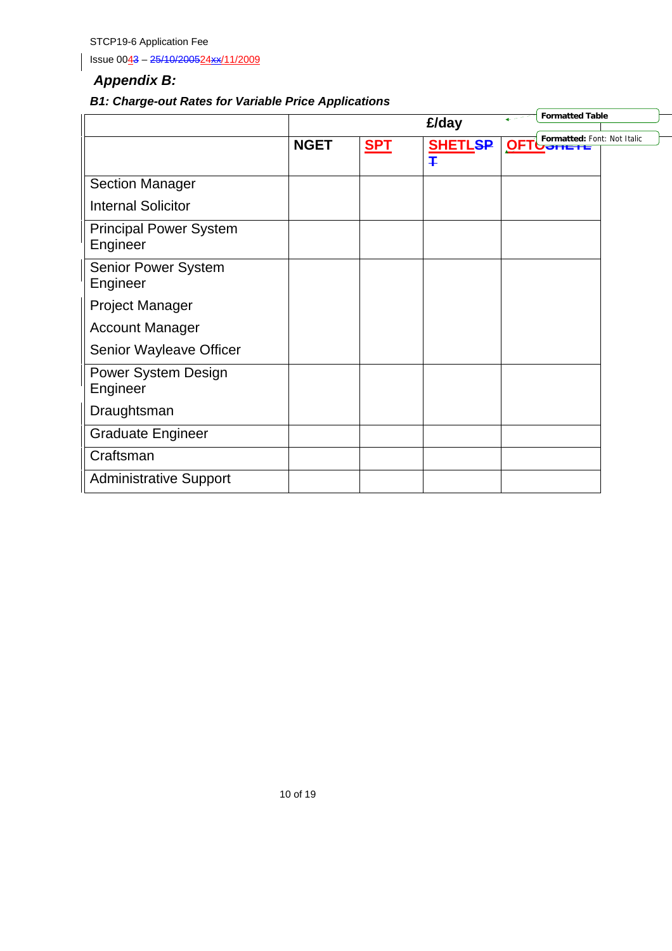### *Appendix B:*

### *B1: Charge-out Rates for Variable Price Applications*

|                                           |             |            | £/day               | <b>Formatted Table</b>                   |  |
|-------------------------------------------|-------------|------------|---------------------|------------------------------------------|--|
|                                           | <b>NGET</b> | <b>SPT</b> | <b>SHETLSP</b><br>Ŧ | Formatted: Font: Not Italic<br>OFTUSHETE |  |
| <b>Section Manager</b>                    |             |            |                     |                                          |  |
| <b>Internal Solicitor</b>                 |             |            |                     |                                          |  |
| <b>Principal Power System</b><br>Engineer |             |            |                     |                                          |  |
| <b>Senior Power System</b><br>Engineer    |             |            |                     |                                          |  |
| <b>Project Manager</b>                    |             |            |                     |                                          |  |
| <b>Account Manager</b>                    |             |            |                     |                                          |  |
| Senior Wayleave Officer                   |             |            |                     |                                          |  |
| Power System Design<br>Engineer           |             |            |                     |                                          |  |
| Draughtsman                               |             |            |                     |                                          |  |
| <b>Graduate Engineer</b>                  |             |            |                     |                                          |  |
| Craftsman                                 |             |            |                     |                                          |  |
| <b>Administrative Support</b>             |             |            |                     |                                          |  |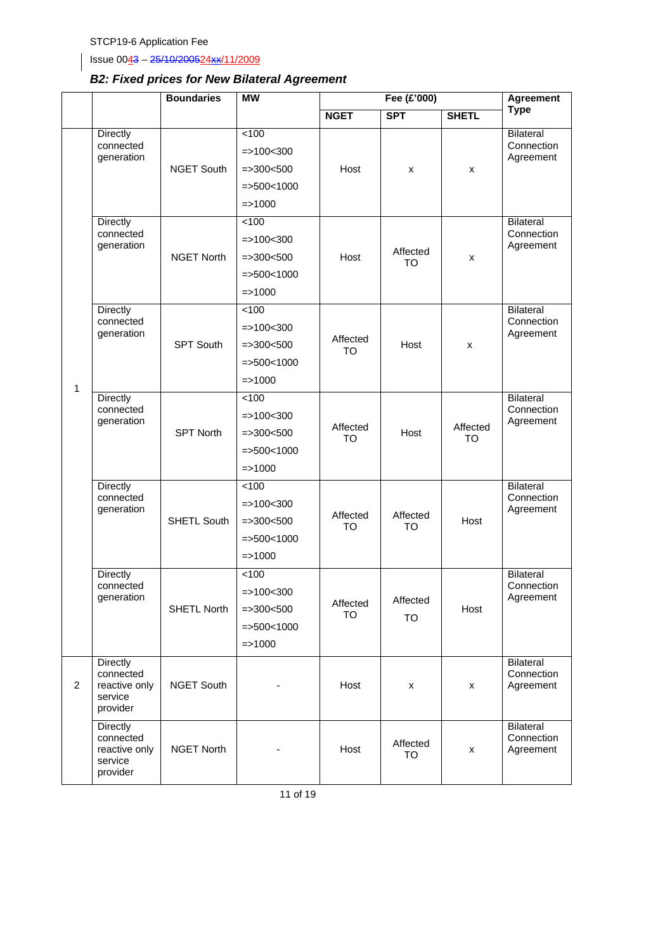### Issue 0043 - 25/10/200524xx/11/2009

### *B2: Fixed prices for New Bilateral Agreement*

|   |                                                                      | <b>Boundaries</b> | <b>MW</b>                                                                   | Fee (£'000)           |                |                       | Agreement                                   |
|---|----------------------------------------------------------------------|-------------------|-----------------------------------------------------------------------------|-----------------------|----------------|-----------------------|---------------------------------------------|
|   |                                                                      |                   |                                                                             | <b>NGET</b>           | <b>SPT</b>     | <b>SHETL</b>          | <b>Type</b>                                 |
|   | <b>Directly</b><br>connected<br>generation                           | <b>NGET South</b> | < 100<br>$=$ > 100 < 300<br>$=$ > 300 < 500<br>$=$ >500<1000<br>$=$ > 1000  | Host                  | x              | x                     | <b>Bilateral</b><br>Connection<br>Agreement |
|   | Directly<br>connected<br>generation                                  | <b>NGET North</b> | 100<br>$=$ > 100 < 300<br>$=$ > 300 < 500<br>$=$ >500<1000<br>$=$ > 1000    | Host                  | Affected<br>TO | x                     | <b>Bilateral</b><br>Connection<br>Agreement |
|   | Directly<br>connected<br>generation                                  | <b>SPT South</b>  | 100<br>$=$ > 100 < 300<br>$=$ > 300 < 500<br>$=$ >500<1000<br>$=$ > 1000    | Affected<br><b>TO</b> | Host           | x                     | <b>Bilateral</b><br>Connection<br>Agreement |
| 1 | Directly<br>connected<br>generation                                  | <b>SPT North</b>  | 100<br>$=$ > 100 < 300<br>$=$ > 300 < 500<br>$=$ >500<1000<br>$=$ > 1000    | Affected<br><b>TO</b> | Host           | Affected<br><b>TO</b> | Bilateral<br>Connection<br>Agreement        |
|   | Directly<br>connected<br>generation                                  | SHETL South       | 100<br>$=$ > 100 < 300<br>$=$ > 300 < 500<br>$=$ >500<1000<br>$=$ > 1000    | Affected<br><b>TO</b> | Affected<br>TO | Host                  | Bilateral<br>Connection<br>Agreement        |
|   | Directly<br>connected<br>generation                                  | SHETL North       | 100<br>$=$ > 100 < 300<br>$=$ > 300 < 500<br>$=$ > 500 < 1000<br>$=$ > 1000 | Affected<br><b>TO</b> | Affected<br>TO | Host                  | <b>Bilateral</b><br>Connection<br>Agreement |
| 2 | <b>Directly</b><br>connected<br>reactive only<br>service<br>provider | <b>NGET South</b> |                                                                             | Host                  | x              | $\pmb{\times}$        | Bilateral<br>Connection<br>Agreement        |
|   | Directly<br>connected<br>reactive only<br>service<br>provider        | <b>NGET North</b> |                                                                             | Host                  | Affected<br>TO | x                     | <b>Bilateral</b><br>Connection<br>Agreement |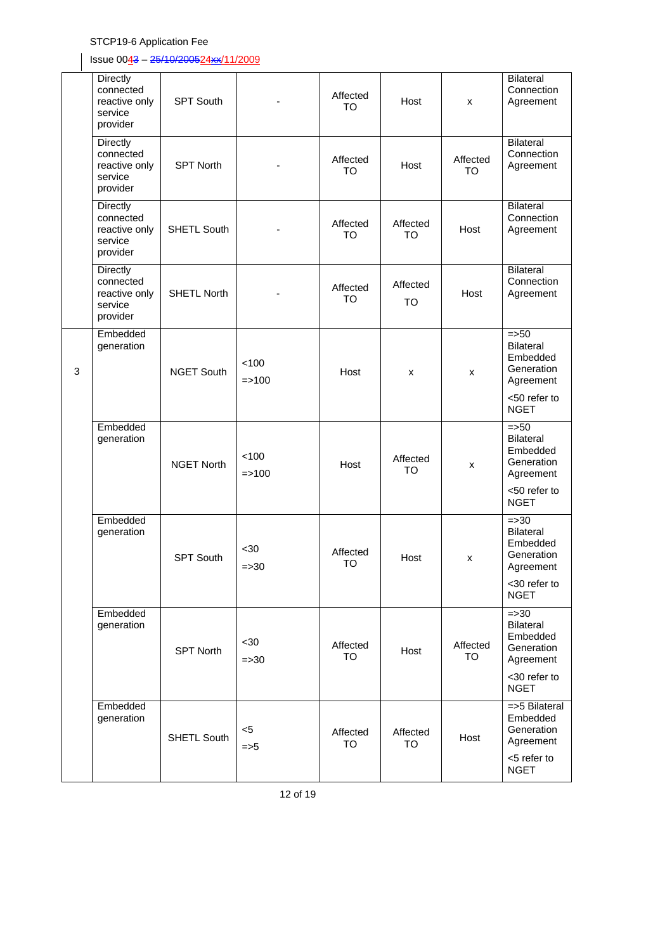### $\left| \right|$  Issue 00 $\frac{43 - 25}{10}$  - 10/2005 24xx / 11/2009

|   | Directly<br>connected<br>reactive only<br>service<br>provider | <b>SPT South</b>   |                    | Affected<br><b>TO</b> | Host                  | x                     | <b>Bilateral</b><br>Connection<br>Agreement                              |
|---|---------------------------------------------------------------|--------------------|--------------------|-----------------------|-----------------------|-----------------------|--------------------------------------------------------------------------|
|   | Directly<br>connected<br>reactive only<br>service<br>provider | <b>SPT North</b>   |                    | Affected<br>TO        | Host                  | Affected<br><b>TO</b> | Bilateral<br>Connection<br>Agreement                                     |
|   | Directly<br>connected<br>reactive only<br>service<br>provider | SHETL South        |                    | Affected<br>TO        | Affected<br>TO        | Host                  | Bilateral<br>Connection<br>Agreement                                     |
|   | Directly<br>connected<br>reactive only<br>service<br>provider | <b>SHETL North</b> |                    | Affected<br>TO        | Affected<br><b>TO</b> | Host                  | <b>Bilateral</b><br>Connection<br>Agreement                              |
| 3 | Embedded<br>generation                                        | <b>NGET South</b>  | < 100<br>$=$ > 100 | Host                  | x                     | X                     | $\equiv$ 50<br>Bilateral<br>Embedded<br>Generation<br>Agreement          |
|   |                                                               |                    |                    |                       |                       |                       | <50 refer to<br><b>NGET</b>                                              |
|   | Embedded<br>generation                                        | <b>NGET North</b>  | < 100<br>$=$ > 100 | Host                  | Affected<br>TO        | x                     | $=$ > 50<br><b>Bilateral</b><br>Embedded<br>Generation<br>Agreement      |
|   |                                                               |                    |                    |                       |                       |                       | <50 refer to<br><b>NGET</b>                                              |
|   | Embedded<br>generation                                        | SPT South          | $30$<br>$= > 30$   | Affected<br>TO        | Host                  | x                     | $= > 30$<br><b>Bilateral</b><br>Embedded<br>Generation<br>Agreement      |
|   |                                                               |                    |                    |                       |                       |                       | <30 refer to<br><b>NGET</b>                                              |
|   | Embedded<br>generation                                        | SPT North          | $30$<br>$= > 30$   | Affected<br>TO        | Host                  | Affected<br>TO        | $\equiv$ > 30<br><b>Bilateral</b><br>Embedded<br>Generation<br>Agreement |
|   |                                                               |                    |                    |                       |                       |                       | <30 refer to<br><b>NGET</b>                                              |
|   | Embedded<br>generation                                        | SHETL South        | < 5<br>$=$ $>$ 5   | Affected<br>TO        | Affected<br><b>TO</b> | Host                  | $=$ $>$ 5 Bilateral<br>Embedded<br>Generation<br>Agreement               |
|   |                                                               |                    |                    |                       |                       |                       | <5 refer to<br><b>NGET</b>                                               |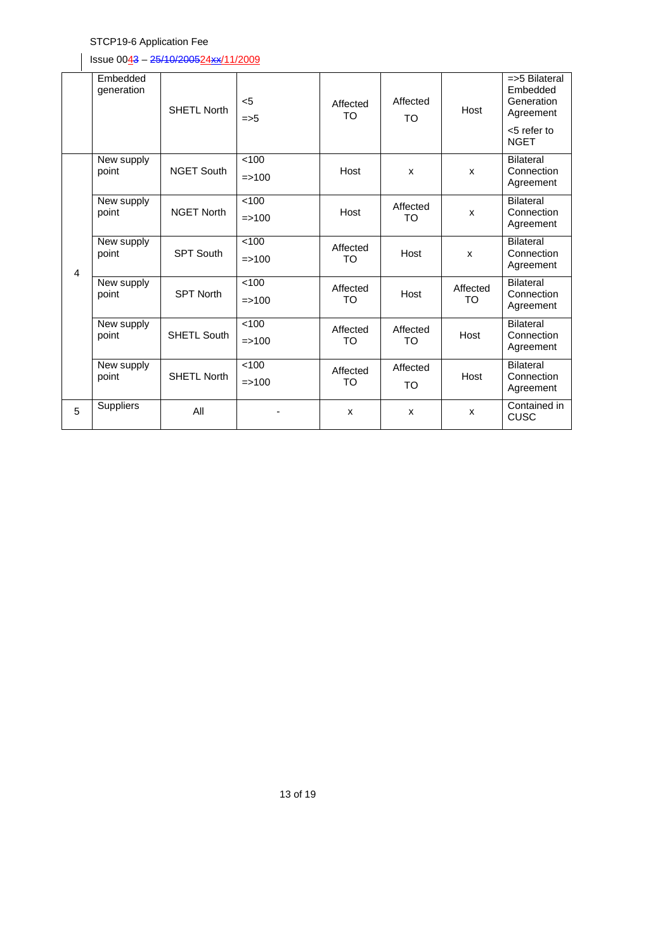### Issue 0043 - 25/10/200524xx/11/2009

|   | Embedded<br>generation | <b>SHETL North</b> | $5$<br>$=$ $>$ 5   | Affected<br><b>TO</b> | Affected<br>TO | Host           | $\Rightarrow$ 5 Bilateral<br>Embedded<br>Generation<br>Agreement<br><5 refer to<br><b>NGET</b> |
|---|------------------------|--------------------|--------------------|-----------------------|----------------|----------------|------------------------------------------------------------------------------------------------|
|   | New supply<br>point    | <b>NGET South</b>  | 100<br>$=$ > 100   | Host                  | X              | X              | <b>Bilateral</b><br>Connection<br>Agreement                                                    |
|   | New supply<br>point    | <b>NGET North</b>  | 100<br>$=$ > 100   | Host                  | Affected<br>TO | X              | <b>Bilateral</b><br>Connection<br>Agreement                                                    |
| 4 | New supply<br>point    | <b>SPT South</b>   | <100<br>$=$ > 100  | Affected<br>TO        | Host           | X              | <b>Bilateral</b><br>Connection<br>Agreement                                                    |
|   | New supply<br>point    | <b>SPT North</b>   | 100<br>$=$ > 100   | Affected<br>TO        | Host           | Affected<br>TO | <b>Bilateral</b><br>Connection<br>Agreement                                                    |
|   | New supply<br>point    | <b>SHETL South</b> | < 100<br>$=$ > 100 | Affected<br>TO        | Affected<br>TO | Host           | <b>Bilateral</b><br>Connection<br>Agreement                                                    |
|   | New supply<br>point    | <b>SHETL North</b> | < 100<br>$=$ > 100 | Affected<br>TO        | Affected<br>TO | Host           | <b>Bilateral</b><br>Connection<br>Agreement                                                    |
| 5 | <b>Suppliers</b>       | All                |                    | X                     | X              | X              | Contained in<br><b>CUSC</b>                                                                    |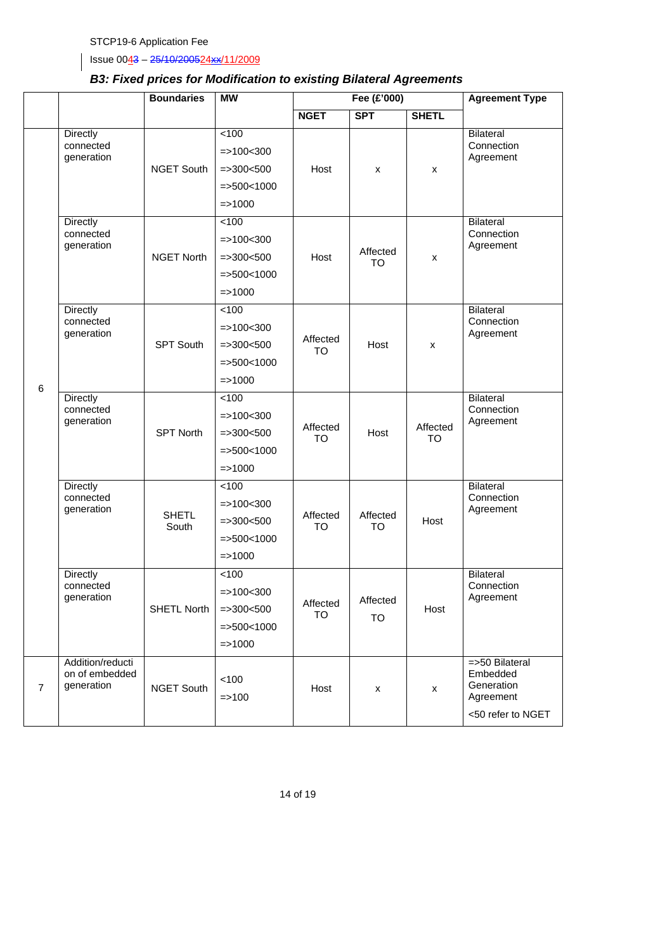Issue 0043 - 25/10/200524xx/11/2009

### *B3: Fixed prices for Modification to existing Bilateral Agreements*

|                |                                                  | <b>Boundaries</b>             | <b>MW</b>        |                       | Fee (£'000)           |                       | <b>Agreement Type</b>                                                         |
|----------------|--------------------------------------------------|-------------------------------|------------------|-----------------------|-----------------------|-----------------------|-------------------------------------------------------------------------------|
|                |                                                  |                               |                  | <b>NGET</b>           | <b>SPT</b>            | <b>SHETL</b>          |                                                                               |
|                | Directly                                         |                               | 100              |                       |                       |                       | <b>Bilateral</b>                                                              |
|                | connected<br>generation                          |                               | $=$ > 100 < 300  |                       |                       |                       | Connection<br>Agreement                                                       |
|                |                                                  | <b>NGET South</b>             | $=$ > 300 < 500  | Host                  | X                     | x                     |                                                                               |
|                |                                                  |                               | $=$ >500<1000    |                       |                       |                       |                                                                               |
|                |                                                  |                               | $=$ > 1000       |                       |                       |                       |                                                                               |
|                | Directly                                         |                               | 100              |                       |                       |                       | <b>Bilateral</b>                                                              |
|                | connected<br>generation                          |                               | $=$ > 100 < 300  |                       |                       |                       | Connection<br>Agreement                                                       |
|                |                                                  | <b>NGET North</b>             | $=$ > 300 < 500  | Host                  | Affected<br><b>TO</b> | x                     |                                                                               |
|                |                                                  |                               | $=$ >500<1000    |                       |                       |                       |                                                                               |
|                |                                                  |                               | $=$ > 1000       |                       |                       |                       |                                                                               |
|                | Directly                                         |                               | 100              |                       |                       |                       | <b>Bilateral</b>                                                              |
|                | connected<br>generation                          |                               | $=$ > 100 < 300  |                       |                       |                       | Connection<br>Agreement                                                       |
|                |                                                  | SPT South                     | $=$ > 300 < 500  | Affected<br><b>TO</b> | Host                  | x                     |                                                                               |
|                |                                                  |                               | $=$ >500<1000    |                       |                       |                       |                                                                               |
| 6              |                                                  |                               | $=$ > 1000       |                       |                       |                       |                                                                               |
|                | Directly                                         | connected<br><b>SPT North</b> | 100              |                       |                       |                       | <b>Bilateral</b>                                                              |
|                | generation                                       |                               | $=$ > 100 < 300  |                       |                       |                       | Connection<br>Agreement                                                       |
|                |                                                  |                               | $=$ > 300 < 500  | Affected<br><b>TO</b> | Host                  | Affected<br><b>TO</b> |                                                                               |
|                |                                                  |                               | $=$ >500<1000    |                       |                       |                       |                                                                               |
|                |                                                  |                               | $=$ > 1000       |                       |                       |                       |                                                                               |
|                | Directly                                         |                               | 100              |                       |                       |                       | <b>Bilateral</b>                                                              |
|                | connected<br>generation                          |                               | $=$ > 100 < 300  |                       |                       |                       | Connection<br>Agreement                                                       |
|                |                                                  | <b>SHETL</b><br>South         | $=$ > 300 < 500  | Affected<br><b>TO</b> | Affected<br><b>TO</b> | Host                  |                                                                               |
|                |                                                  |                               | $=$ >500<1000    |                       |                       |                       |                                                                               |
|                |                                                  |                               | $=$ > 1000       |                       |                       |                       |                                                                               |
|                | Directly                                         |                               | < 100            |                       |                       |                       | <b>Bilateral</b>                                                              |
|                | connected<br>generation                          |                               | $=$ > 100 < 300  |                       | Affected              |                       | Connection<br>Agreement                                                       |
|                |                                                  | SHETL North                   | $=$ > 300 < 500  | Affected<br><b>TO</b> | <b>TO</b>             | Host                  |                                                                               |
|                |                                                  |                               | $=$ > 500 < 1000 |                       |                       |                       |                                                                               |
|                |                                                  |                               | $=$ > 1000       |                       |                       |                       |                                                                               |
| $\overline{7}$ | Addition/reducti<br>on of embedded<br>generation | <b>NGET South</b>             | 100<br>$=$ > 100 | Host                  | x                     | X                     | $=$ >50 Bilateral<br>Embedded<br>Generation<br>Agreement<br><50 refer to NGET |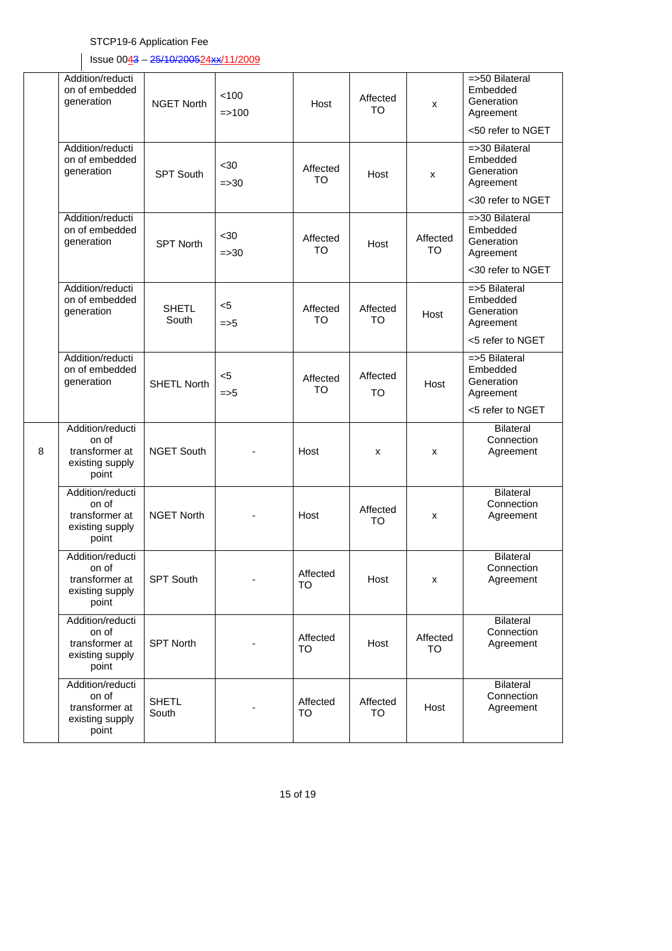$\left| \right|$  Issue 00 $\frac{43 - \frac{25}{10200524x}{11/2009}}$ 

|   | Addition/reducti<br>on of embedded<br>generation                        | <b>NGET North</b>     | < 100<br>$=$ > 100 | Host                  | Affected<br><b>TO</b> | x                     | $=$ $>50$ Bilateral<br>Embedded<br>Generation<br>Agreement<br><50 refer to NGET |
|---|-------------------------------------------------------------------------|-----------------------|--------------------|-----------------------|-----------------------|-----------------------|---------------------------------------------------------------------------------|
|   | Addition/reducti<br>on of embedded<br>generation                        | SPT South             | <30<br>$=$ > 30    | Affected<br>TO        | Host                  | x                     | $=$ $>$ 30 Bilateral<br>Embedded<br>Generation<br>Agreement                     |
|   |                                                                         |                       |                    |                       |                       |                       | <30 refer to NGET                                                               |
|   | Addition/reducti<br>on of embedded<br>generation                        | <b>SPT North</b>      | <30<br>$=$ $>$ 30  | Affected<br>TO        | Host                  | Affected<br>TO        | $=$ $>$ 30 Bilateral<br>Embedded<br>Generation<br>Agreement                     |
|   |                                                                         |                       |                    |                       |                       |                       | <30 refer to NGET                                                               |
|   | Addition/reducti<br>on of embedded<br>generation                        | <b>SHETL</b><br>South | $5$<br>$=$ 5       | Affected<br><b>TO</b> | Affected<br><b>TO</b> | Host                  | $=$ $>5$ Bilateral<br>Embedded<br>Generation<br>Agreement                       |
|   |                                                                         |                       |                    |                       |                       |                       | <5 refer to NGET                                                                |
|   | Addition/reducti<br>on of embedded<br>generation                        | <b>SHETL North</b>    | $5$<br>$=$ $>$ 5   | Affected<br><b>TO</b> | Affected<br><b>TO</b> | Host                  | $=$ $>5$ Bilateral<br>Embedded<br>Generation<br>Agreement                       |
|   |                                                                         |                       |                    |                       |                       |                       | <5 refer to NGET                                                                |
| 8 | Addition/reducti<br>on of<br>transformer at<br>existing supply<br>point | <b>NGET South</b>     |                    | Host                  | x                     | X                     | <b>Bilateral</b><br>Connection<br>Agreement                                     |
|   | Addition/reducti<br>on of<br>transformer at<br>existing supply<br>point | <b>NGET North</b>     |                    | Host                  | Affected<br>TO        | x                     | <b>Bilateral</b><br>Connection<br>Agreement                                     |
|   | Addition/reducti<br>on of<br>transformer at<br>existing supply<br>point | <b>SPT South</b>      |                    | Affected<br>TO        | Host                  | x                     | Bilateral<br>Connection<br>Agreement                                            |
|   | Addition/reducti<br>on of<br>transformer at<br>existing supply<br>point | <b>SPT North</b>      |                    | Affected<br><b>TO</b> | Host                  | Affected<br><b>TO</b> | Bilateral<br>Connection<br>Agreement                                            |
|   | Addition/reducti<br>on of<br>transformer at<br>existing supply<br>point | <b>SHETL</b><br>South |                    | Affected<br>TO        | Affected<br>TO        | Host                  | <b>Bilateral</b><br>Connection<br>Agreement                                     |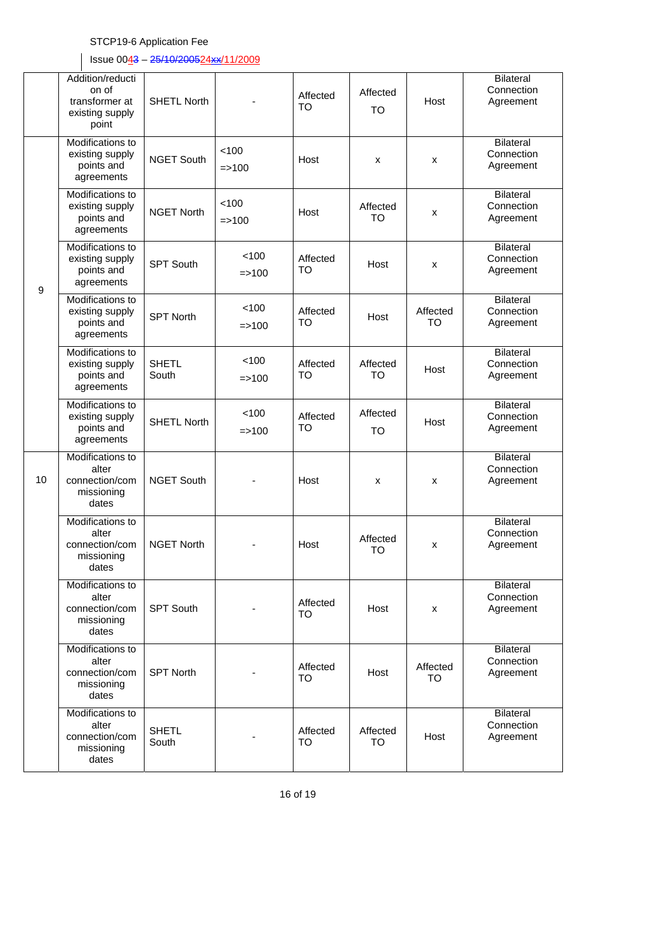$\left| \right|$  Issue 00 $\frac{43 - \frac{25}{10200524x}{11/2009}}$ 

|                  | Addition/reducti<br>on of<br>transformer at<br>existing supply<br>point | <b>SHETL North</b>    |                    | Affected<br>TO | Affected<br><b>TO</b> | Host           | <b>Bilateral</b><br>Connection<br>Agreement |
|------------------|-------------------------------------------------------------------------|-----------------------|--------------------|----------------|-----------------------|----------------|---------------------------------------------|
|                  | Modifications to<br>existing supply<br>points and<br>agreements         | <b>NGET South</b>     | 100<br>$=$ > 100   | Host           | x                     | X              | Bilateral<br>Connection<br>Agreement        |
|                  | Modifications to<br>existing supply<br>points and<br>agreements         | <b>NGET North</b>     | < 100<br>$=$ > 100 | Host           | Affected<br>TO        | X              | <b>Bilateral</b><br>Connection<br>Agreement |
| $\boldsymbol{9}$ | Modifications to<br>existing supply<br>points and<br>agreements         | <b>SPT South</b>      | < 100<br>$=$ > 100 | Affected<br>TO | Host                  | X              | <b>Bilateral</b><br>Connection<br>Agreement |
|                  | Modifications to<br>existing supply<br>points and<br>agreements         | <b>SPT North</b>      | 100<br>$=$ > 100   | Affected<br>то | Host                  | Affected<br>TO | Bilateral<br>Connection<br>Agreement        |
|                  | Modifications to<br>existing supply<br>points and<br>agreements         | <b>SHETL</b><br>South | < 100<br>$=$ > 100 | Affected<br>TO | Affected<br><b>TO</b> | Host           | <b>Bilateral</b><br>Connection<br>Agreement |
|                  | Modifications to<br>existing supply<br>points and<br>agreements         | <b>SHETL North</b>    | < 100<br>$=$ > 100 | Affected<br>TO | Affected<br>TO        | Host           | <b>Bilateral</b><br>Connection<br>Agreement |
| 10               | Modifications to<br>alter<br>connection/com<br>missioning<br>dates      | <b>NGET South</b>     |                    | Host           | х                     | x              | <b>Bilateral</b><br>Connection<br>Agreement |
|                  | Modifications to<br>alter<br>connection/com<br>missioning<br>dates      | <b>NGET North</b>     |                    | Host           | Affected<br>TO        | X              | <b>Bilateral</b><br>Connection<br>Agreement |
|                  | Modifications to<br>alter<br>connection/com<br>missioning<br>dates      | <b>SPT South</b>      |                    | Affected<br>то | Host                  | X              | <b>Bilateral</b><br>Connection<br>Agreement |
|                  | Modifications to<br>alter<br>connection/com<br>missioning<br>dates      | <b>SPT North</b>      |                    | Affected<br>TO | Host                  | Affected<br>TO | <b>Bilateral</b><br>Connection<br>Agreement |
|                  | Modifications to<br>alter<br>connection/com<br>missioning<br>dates      | <b>SHETL</b><br>South |                    | Affected<br>TO | Affected<br>TO        | Host           | <b>Bilateral</b><br>Connection<br>Agreement |

16 of 19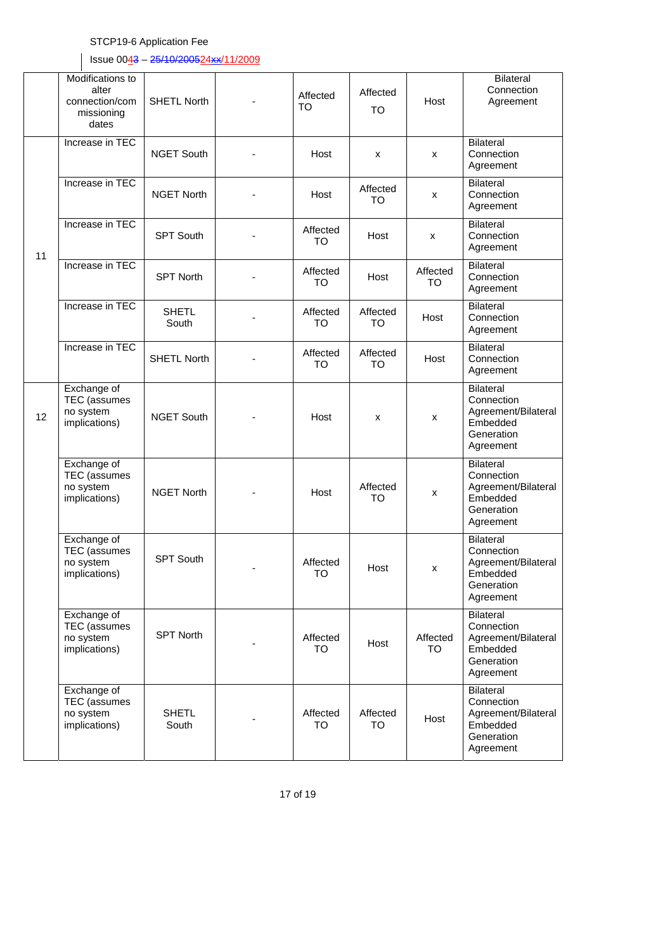$\left| \right|$  Issue 00 $\frac{43 - 25/10}{200524xx}{11/2009}$ 

|    | Modifications to<br>alter<br>connection/com<br>missioning<br>dates | <b>SHETL North</b>    | Affected<br>TO        | Affected<br><b>TO</b> | Host                  | <b>Bilateral</b><br>Connection<br>Agreement                                                  |
|----|--------------------------------------------------------------------|-----------------------|-----------------------|-----------------------|-----------------------|----------------------------------------------------------------------------------------------|
|    | Increase in TEC                                                    | <b>NGET South</b>     | Host                  | x                     | X                     | <b>Bilateral</b><br>Connection<br>Agreement                                                  |
|    | Increase in TEC                                                    | <b>NGET North</b>     | Host                  | Affected<br><b>TO</b> | x                     | <b>Bilateral</b><br>Connection<br>Agreement                                                  |
| 11 | Increase in TEC                                                    | <b>SPT South</b>      | Affected<br><b>TO</b> | Host                  | $\mathsf{x}$          | <b>Bilateral</b><br>Connection<br>Agreement                                                  |
|    | Increase in TEC                                                    | <b>SPT North</b>      | Affected<br><b>TO</b> | Host                  | Affected<br>TO        | <b>Bilateral</b><br>Connection<br>Agreement                                                  |
|    | Increase in TEC                                                    | <b>SHETL</b><br>South | Affected<br><b>TO</b> | Affected<br>TO        | Host                  | <b>Bilateral</b><br>Connection<br>Agreement                                                  |
|    | Increase in TEC                                                    | <b>SHETL North</b>    | Affected<br><b>TO</b> | Affected<br>TO        | Host                  | <b>Bilateral</b><br>Connection<br>Agreement                                                  |
| 12 | Exchange of<br>TEC (assumes<br>no system<br>implications)          | <b>NGET South</b>     | Host                  | x                     | x                     | <b>Bilateral</b><br>Connection<br>Agreement/Bilateral<br>Embedded<br>Generation<br>Agreement |
|    | Exchange of<br>TEC (assumes<br>no system<br>implications)          | <b>NGET North</b>     | Host                  | Affected<br><b>TO</b> | x                     | <b>Bilateral</b><br>Connection<br>Agreement/Bilateral<br>Embedded<br>Generation<br>Agreement |
|    | Exchange of<br>TEC (assumes<br>no system<br>implications)          | SPT South             | Affected<br><b>TO</b> | Host                  | x                     | Bilateral<br>Connection<br>Agreement/Bilateral<br>Embedded<br>Generation<br>Agreement        |
|    | Exchange of<br>TEC (assumes<br>no system<br>implications)          | <b>SPT North</b>      | Affected<br><b>TO</b> | Host                  | Affected<br><b>TO</b> | <b>Bilateral</b><br>Connection<br>Agreement/Bilateral<br>Embedded<br>Generation<br>Agreement |
|    | Exchange of<br>TEC (assumes<br>no system<br>implications)          | <b>SHETL</b><br>South | Affected<br><b>TO</b> | Affected<br>TO        | Host                  | <b>Bilateral</b><br>Connection<br>Agreement/Bilateral<br>Embedded<br>Generation<br>Agreement |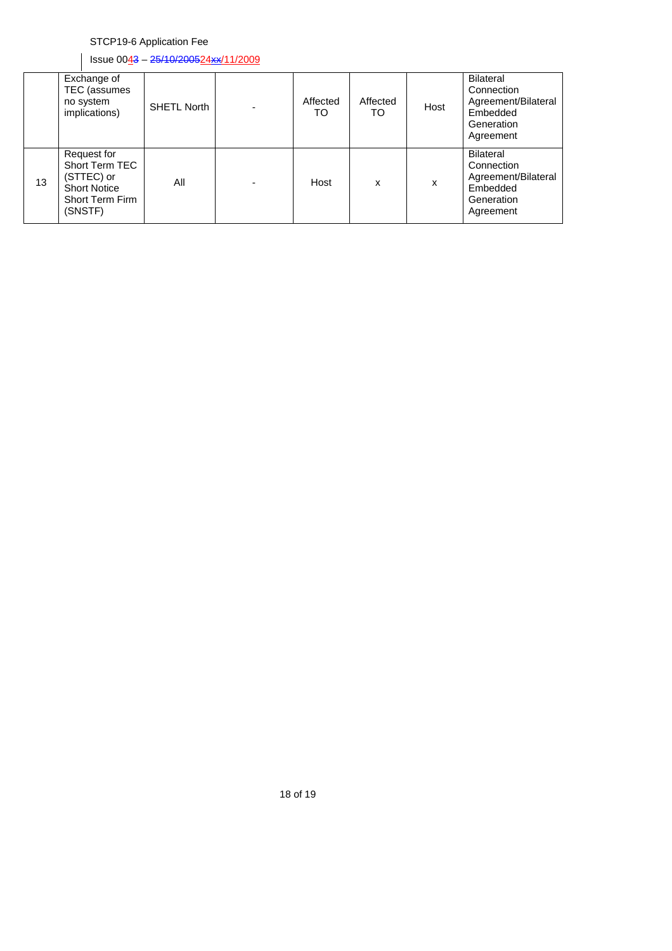$\left| \right|$  Issue 00 $\frac{43 - 25/10}{200524}$  xx/11/2009

|    | Exchange of<br>TEC (assumes<br>no system<br>implications)                                        | <b>SHETL North</b> | Affected<br>TO | Affected<br>TO | Host | <b>Bilateral</b><br>Connection<br>Agreement/Bilateral<br>Embedded<br>Generation<br>Agreement |
|----|--------------------------------------------------------------------------------------------------|--------------------|----------------|----------------|------|----------------------------------------------------------------------------------------------|
| 13 | Request for<br>Short Term TEC<br>(STTEC) or<br><b>Short Notice</b><br>Short Term Firm<br>(SNSTF) | All                | Host           | x              | x    | <b>Bilateral</b><br>Connection<br>Agreement/Bilateral<br>Embedded<br>Generation<br>Agreement |